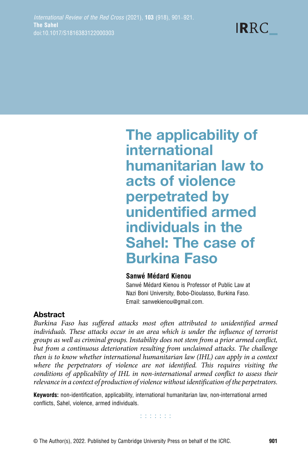

The applicability of international humanitarian law to acts of violence perpetrated by unidentified armed individuals in the Sahel: The case of Burkina Faso

#### Sanwé Médard Kienou

Sanwé Médard Kienou is Professor of Public Law at Nazi Boni University, Bobo-Dioulasso, Burkina Faso. Email: sanwekienou@gmail.com.

## Abstract

Burkina Faso has suffered attacks most often attributed to unidentified armed individuals. These attacks occur in an area which is under the influence of terrorist groups as well as criminal groups. Instability does not stem from a prior armed conflict, but from a continuous deterioration resulting from unclaimed attacks. The challenge then is to know whether international humanitarian law (IHL) can apply in a context where the perpetrators of violence are not identified. This requires visiting the conditions of applicability of IHL in non-international armed conflict to assess their relevance in a context of production of violence without identification of the perpetrators.

Keywords: non-identification, applicability, international humanitarian law, non-international armed conflicts, Sahel, violence, armed individuals.

**TERRITE**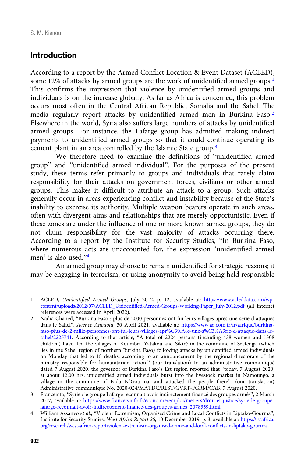#### Introduction

According to a report by the Armed Conflict Location & Event Dataset (ACLED), some 12% of attacks by armed groups are the work of unidentified armed groups.<sup>1</sup> This confirms the impression that violence by unidentified armed groups and individuals is on the increase globally. As far as Africa is concerned, this problem occurs most often in the Central African Republic, Somalia and the Sahel. The media regularly report attacks by unidentified armed men in Burkina Faso.2 Elsewhere in the world, Syria also suffers large numbers of attacks by unidentified armed groups. For instance, the Lafarge group has admitted making indirect payments to unidentified armed groups so that it could continue operating its cement plant in an area controlled by the Islamic State group.3

We therefore need to examine the definitions of "unidentified armed group" and "unidentified armed individual". For the purposes of the present study, these terms refer primarily to groups and individuals that rarely claim responsibility for their attacks on government forces, civilians or other armed groups. This makes it difficult to attribute an attack to a group. Such attacks generally occur in areas experiencing conflict and instability because of the State's inability to exercise its authority. Multiple weapon bearers operate in such areas, often with divergent aims and relationships that are merely opportunistic. Even if these zones are under the influence of one or more known armed groups, they do not claim responsibility for the vast majority of attacks occurring there. According to a report by the Institute for Security Studies, "In Burkina Faso, where numerous acts are unaccounted for, the expression 'unidentified armed men' is also used."<sup>4</sup>

An armed group may choose to remain unidentified for strategic reasons; it may be engaging in terrorism, or using anonymity to avoid being held responsible

1 ACLED, Unidentified Armed Groups, July 2012, p. 12, available at: [https://www.acleddata.com/wp](https://www.acleddata.com/wp-content/uploads/2012/07/ACLED_Unidentified-Armed-Groups-Working-Paper_July-2012.pdf)[content/uploads/2012/07/ACLED\\_Unidentified-Armed-Groups-Working-Paper\\_July-2012.pdf](https://www.acleddata.com/wp-content/uploads/2012/07/ACLED_Unidentified-Armed-Groups-Working-Paper_July-2012.pdf) (all internet references were accessed in April 2022).

2 Nadia Chahed, "Burkina Faso : plus de 2000 personnes ont fui leurs villages après une série d'attaques dans le Sahel", Agence Anodolu, 30 April 2021, available at: [https://www.aa.com.tr/fr/afrique/burkina](https://www.aa.com.tr/fr/afrique/burkina-faso-plus-de-2-mille-personnes-ont-fui-leurs-villages-apr%C3%A8s-une-s%C3%A9rie-d-attaque-dans-le-sahel/2225741)[faso-plus-de-2-mille-personnes-ont-fui-leurs-villages-apr%C3%A8s-une-s%C3%A9rie-d-attaque-dans-le](https://www.aa.com.tr/fr/afrique/burkina-faso-plus-de-2-mille-personnes-ont-fui-leurs-villages-apr%C3%A8s-une-s%C3%A9rie-d-attaque-dans-le-sahel/2225741)[sahel/2225741](https://www.aa.com.tr/fr/afrique/burkina-faso-plus-de-2-mille-personnes-ont-fui-leurs-villages-apr%C3%A8s-une-s%C3%A9rie-d-attaque-dans-le-sahel/2225741). According to that article, "A total of 2224 persons (including 438 women and 1308 children) have fled the villages of Koumbri, Yatakou and Sikiré in the commune of Seytenga (which lies in the Sahel region of northern Burkina Faso) following attacks by unidentified armed individuals on Monday that led to 18 deaths, according to an announcement by the regional directorate of the ministry responsible for humanitarian action." (our translation) In an administrative communiqué dated 7 August 2020, the governor of Burkina Faso's Est region reported that "today, 7 August 2020, at about 12:00 hrs, unidentified armed individuals burst into the livestock market in Namoungo, a village in the commune of Fada N'Gourma, and attacked the people there". (our translation) Administrative communiqué No. 2020-024/MATDC/REST/GVRT-FGRM/CAB, 7 August 2020.

3 Franceinfo, "Syrie : le groupe Lafarge reconnaît avoir indirectement financé des groupes armés", 2 March 2017, available at: [https://www.francetvinfo.fr/economie/emploi/metiers/droit-et-justice/syrie-le-groupe](https://www.francetvinfo.fr/economie/emploi/metiers/droit-et-justice/syrie-le-groupe-lafarge-reconnait-avoir-indirectement-finance-des-groupes-armes_2078359.html)[lafarge-reconnait-avoir-indirectement-finance-des-groupes-armes\\_2078359.html](https://www.francetvinfo.fr/economie/emploi/metiers/droit-et-justice/syrie-le-groupe-lafarge-reconnait-avoir-indirectement-finance-des-groupes-armes_2078359.html).

4 William Assanvo et al., "Violent Extremism, Organised Crime and Local Conflicts in Liptako-Gourma", Institute for Security Studies, West Africa Report 26, 10 December 2019, p. 3, available at: [https://issafrica.](https://issafrica.org/research/west-africa-report/violent-extremism-organised-crime-and-local-conflicts-in-liptako-gourma) [org/research/west-africa-report/violent-extremism-organised-crime-and-local-conflicts-in-liptako-gourma.](https://issafrica.org/research/west-africa-report/violent-extremism-organised-crime-and-local-conflicts-in-liptako-gourma)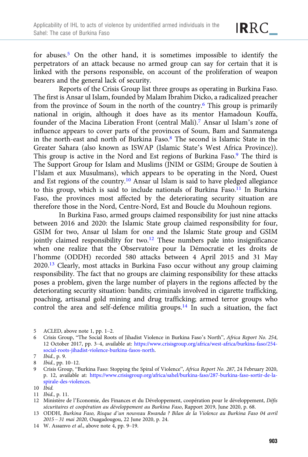for abuses.5 On the other hand, it is sometimes impossible to identify the perpetrators of an attack because no armed group can say for certain that it is linked with the persons responsible, on account of the proliferation of weapon bearers and the general lack of security.

Reports of the Crisis Group list three groups as operating in Burkina Faso. The first is Ansar ul Islam, founded by Malam Ibrahim Dicko, a radicalized preacher from the province of Soum in the north of the country.6 This group is primarily national in origin, although it does have as its mentor Hamadoun Kouffa, founder of the Macina Liberation Front (central Mali).7 Ansar ul Islam's zone of influence appears to cover parts of the provinces of Soum, Bam and Sanmatenga in the north-east and north of Burkina Faso.8 The second is Islamic State in the Greater Sahara (also known as ISWAP (Islamic State's West Africa Province)). This group is active in the Nord and Est regions of Burkina Faso.<sup>9</sup> The third is The Support Group for Islam and Muslims (JNIM or GSIM; Groupe de Soutien à l'Islam et aux Musulmans), which appears to be operating in the Nord, Ouest and Est regions of the country.10 Ansar ul Islam is said to have pledged allegiance to this group, which is said to include nationals of Burkina Faso.<sup>11</sup> In Burkina Faso, the provinces most affected by the deteriorating security situation are therefore those in the Nord, Centre-Nord, Est and Boucle du Mouhoun regions.

In Burkina Faso, armed groups claimed responsibility for just nine attacks between 2016 and 2020: the Islamic State group claimed responsibility for four, GSIM for two, Ansar ul Islam for one and the Islamic State group and GSIM jointly claimed responsibility for two.<sup>12</sup> These numbers pale into insignificance when one realize that the Observatoire pour la Démocratie et les droits de l'homme (ODDH) recorded 580 attacks between 4 April 2015 and 31 May 2020.13 Clearly, most attacks in Burkina Faso occur without any group claiming responsibility. The fact that no groups are claiming responsibility for these attacks poses a problem, given the large number of players in the regions affected by the deteriorating security situation: bandits; criminals involved in cigarette trafficking, poaching, artisanal gold mining and drug trafficking; armed terror groups who control the area and self-defence militia groups.<sup>14</sup> In such a situation, the fact

IRRC\_

<sup>5</sup> ACLED, above note 1, pp. 1–2.

<sup>6</sup> Crisis Group, "The Social Roots of Jihadist Violence in Burkina Faso's North", Africa Report No. 254, 12 October 2017, pp. 3–4, available at: [https://www.crisisgroup.org/africa/west-africa/burkina-faso/254](https://www.crisisgroup.org/africa/west-africa/burkina-faso/254-social-roots-jihadist-violence-burkina-fasos-north) [social-roots-jihadist-violence-burkina-fasos-north](https://www.crisisgroup.org/africa/west-africa/burkina-faso/254-social-roots-jihadist-violence-burkina-fasos-north).

<sup>7</sup> Ibid., p. 9.

<sup>8</sup> Ibid., pp. 10–12.

<sup>9</sup> Crisis Group, "Burkina Faso: Stopping the Spiral of Violence", Africa Report No. 287, 24 February 2020, p. 12, available at: [https://www.crisisgroup.org/africa/sahel/burkina-faso/287-burkina-faso-sortir-de-la](https://www.crisisgroup.org/africa/sahel/burkina-faso/287-burkina-faso-sortir-de-la-spirale-des-violences)[spirale-des-violences.](https://www.crisisgroup.org/africa/sahel/burkina-faso/287-burkina-faso-sortir-de-la-spirale-des-violences)

<sup>10</sup> Ibid.

<sup>11</sup> Ibid., p. 11.

<sup>12</sup> Ministère de l'Economie, des Finances et du Développement, coopération pour le développement, Défis sécuritaires et coopération au développement au Burkina Faso, Rapport 2019, June 2020, p. 68.

<sup>13</sup> ODDH, Burkina Faso, Risque d'un nouveau Rwanda ? Bilan de la Violence au Burkina Faso 04 avril 2015 – 31 mai 2020, Ouagadougou, 22 June 2020, p. 24.

<sup>14</sup> W. Assanvo et al., above note 4, pp. 9–19.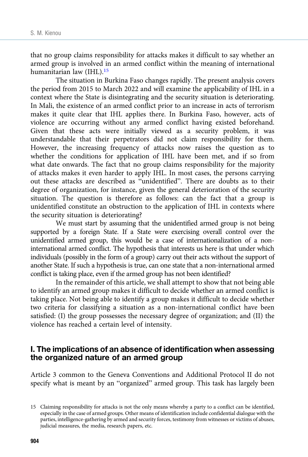that no group claims responsibility for attacks makes it difficult to say whether an armed group is involved in an armed conflict within the meaning of international humanitarian law (IHL).15

The situation in Burkina Faso changes rapidly. The present analysis covers the period from 2015 to March 2022 and will examine the applicability of IHL in a context where the State is disintegrating and the security situation is deteriorating. In Mali, the existence of an armed conflict prior to an increase in acts of terrorism makes it quite clear that IHL applies there. In Burkina Faso, however, acts of violence are occurring without any armed conflict having existed beforehand. Given that these acts were initially viewed as a security problem, it was understandable that their perpetrators did not claim responsibility for them. However, the increasing frequency of attacks now raises the question as to whether the conditions for application of IHL have been met, and if so from what date onwards. The fact that no group claims responsibility for the majority of attacks makes it even harder to apply IHL. In most cases, the persons carrying out these attacks are described as "unidentified". There are doubts as to their degree of organization, for instance, given the general deterioration of the security situation. The question is therefore as follows: can the fact that a group is unidentified constitute an obstruction to the application of IHL in contexts where the security situation is deteriorating?

We must start by assuming that the unidentified armed group is not being supported by a foreign State. If a State were exercising overall control over the unidentified armed group, this would be a case of internationalization of a noninternational armed conflict. The hypothesis that interests us here is that under which individuals (possibly in the form of a group) carry out their acts without the support of another State. If such a hypothesis is true, can one state that a non-international armed conflict is taking place, even if the armed group has not been identified?

In the remainder of this article, we shall attempt to show that not being able to identify an armed group makes it difficult to decide whether an armed conflict is taking place. Not being able to identify a group makes it difficult to decide whether two criteria for classifying a situation as a non-international conflict have been satisfied: (I) the group possesses the necessary degree of organization; and (II) the violence has reached a certain level of intensity.

#### I. The implications of an absence of identification when assessing the organized nature of an armed group

Article 3 common to the Geneva Conventions and Additional Protocol II do not specify what is meant by an "organized" armed group. This task has largely been

<sup>15</sup> Claiming responsibility for attacks is not the only means whereby a party to a conflict can be identified, especially in the case of armed groups. Other means of identification include confidential dialogue with the parties, intelligence-gathering by armed and security forces, testimony from witnesses or victims of abuses, judicial measures, the media, research papers, etc.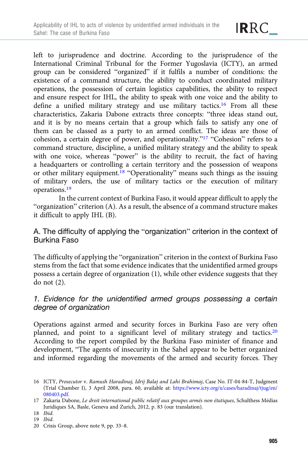left to jurisprudence and doctrine. According to the jurisprudence of the International Criminal Tribunal for the Former Yugoslavia (ICTY), an armed group can be considered "organized" if it fulfils a number of conditions: the existence of a command structure, the ability to conduct coordinated military operations, the possession of certain logistics capabilities, the ability to respect and ensure respect for IHL, the ability to speak with one voice and the ability to define a unified military strategy and use military tactics.16 From all these characteristics, Zakaria Dabone extracts three concepts: "three ideas stand out, and it is by no means certain that a group which fails to satisfy any one of them can be classed as a party to an armed conflict. The ideas are those of cohesion, a certain degree of power, and operationality."<sup>17</sup> "Cohesion" refers to a command structure, discipline, a unified military strategy and the ability to speak with one voice, whereas "power" is the ability to recruit, the fact of having a headquarters or controlling a certain territory and the possession of weapons or other military equipment.<sup>18</sup> "Operationality" means such things as the issuing of military orders, the use of military tactics or the execution of military operations.19

In the current context of Burkina Faso, it would appear difficult to apply the "organization" criterion (A). As a result, the absence of a command structure makes it difficult to apply IHL (B).

A. The difficulty of applying the "organization" criterion in the context of Burkina Faso

The difficulty of applying the "organization" criterion in the context of Burkina Faso stems from the fact that some evidence indicates that the unidentified armed groups possess a certain degree of organization (1), while other evidence suggests that they do not (2).

## 1. Evidence for the unidentified armed groups possessing a certain degree of organization

Operations against armed and security forces in Burkina Faso are very often planned, and point to a significant level of military strategy and tactics.<sup>20</sup> According to the report compiled by the Burkina Faso minister of finance and development, "The agents of insecurity in the Sahel appear to be better organized and informed regarding the movements of the armed and security forces. They

<sup>16</sup> ICTY, Prosecutor v. Ramush Haradinaj, Idrij Balaj and Lahi Brahimaj, Case No. IT-04-84-T, Judgment (Trial Chamber I), 3 April 2008, para. 60, available at: [https://www.icty.org/x/cases/haradinaj/tjug/en/](https://www.icty.org/x/cases/haradinaj/tjug/en/080403.pdf) [080403.pdf](https://www.icty.org/x/cases/haradinaj/tjug/en/080403.pdf).

<sup>17</sup> Zakaria Dabone, Le droit international public relatif aux groupes armés non étatiques, Schulthess Médias Juridiques SA, Basle, Geneva and Zurich, 2012, p. 83 (our translation).

<sup>18</sup> Ibid.

<sup>19</sup> Ibid.

<sup>20</sup> Crisis Group, above note 9, pp. 33–8.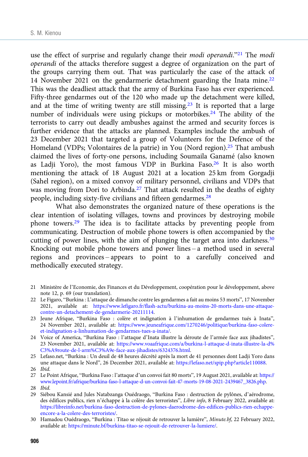use the effect of surprise and regularly change their *modi operandi*."<sup>21</sup> The *modi* operandi of the attacks therefore suggest a degree of organization on the part of the groups carrying them out. That was particularly the case of the attack of 14 November 2021 on the gendarmerie detachment guarding the Inata mine.<sup>22</sup> This was the deadliest attack that the army of Burkina Faso has ever experienced. Fifty-three gendarmes out of the 120 who made up the detachment were killed, and at the time of writing twenty are still missing.<sup>23</sup> It is reported that a large number of individuals were using pickups or motorbikes.<sup>24</sup> The ability of the terrorists to carry out deadly ambushes against the armed and security forces is further evidence that the attacks are planned. Examples include the ambush of 23 December 2021 that targeted a group of Volunteers for the Defence of the Homeland (VDPs; Volontaires de la patrie) in You (Nord region).<sup>25</sup> That ambush claimed the lives of forty-one persons, including Soumaila Ganamé (also known as Ladji Yoro), the most famous VDP in Burkina Faso.<sup>26</sup> It is also worth mentioning the attack of 18 August 2021 at a location 25 km from Gorgadji (Sahel region), on a mixed convoy of military personnel, civilians and VDPs that was moving from Dori to Arbinda.<sup>27</sup> That attack resulted in the deaths of eighty people, including sixty-five civilians and fifteen gendarmes.28

What also demonstrates the organized nature of these operations is the clear intention of isolating villages, towns and provinces by destroying mobile phone towers.29 The idea is to facilitate attacks by preventing people from communicating. Destruction of mobile phone towers is often accompanied by the cutting of power lines, with the aim of plunging the target area into darkness.<sup>30</sup> Knocking out mobile phone towers and power lines – a method used in several regions and provinces – appears to point to a carefully conceived and methodically executed strategy.

- 21 Ministère de l'Economie, des Finances et du Développement, coopération pour le développement, above note 12, p. 69 (our translation).
- 22 Le Figaro, "Burkina : L'attaque de dimanche contre les gendarmes a fait au moins 53 morts", 17 November 2021, available at: [https://www.lefigaro.fr/flash-actu/burkina-au-moins-20-morts-dans-une-attaque](https://www.lefigaro.fr/flash-actu/burkina-au-moins-20-morts-dans-une-attaque-contre-un-detachement-de-gendarmerie-20211114)[contre-un-detachement-de-gendarmerie-20211114](https://www.lefigaro.fr/flash-actu/burkina-au-moins-20-morts-dans-une-attaque-contre-un-detachement-de-gendarmerie-20211114).
- 23 Jeune Afrique, "Burkina Faso : colère et indignation à l'inhumation de gendarmes tués à Inata", 24 November 2021, available at: [https://www.jeuneafrique.com/1270246/politique/burkina-faso-colere](https://www.jeuneafrique.com/1270246/politique/burkina-faso-colere-et-indignation-a-linhumation-de-gendarmes-tues-a-inata/)[et-indignation-a-linhumation-de-gendarmes-tues-a-inata/](https://www.jeuneafrique.com/1270246/politique/burkina-faso-colere-et-indignation-a-linhumation-de-gendarmes-tues-a-inata/).
- 24 Voice of America, "Burkina Faso : l'attaque d'Inata illustre la déroute de l'armée face aux jihadistes", 23 November 2021, available at: [https://www.voaafrique.com/a/burkina-l-attaque-d-inata-illustre-la-d%](https://www.voaafrique.com/a/burkina-l-attaque-d-inata-illustre-la-d%C3%A9route-de-l-arm%C3%A9e-face-aux-jihadistes/6324376.html) [C3%A9route-de-l-arm%C3%A9e-face-aux-jihadistes/6324376.html](https://www.voaafrique.com/a/burkina-l-attaque-d-inata-illustre-la-d%C3%A9route-de-l-arm%C3%A9e-face-aux-jihadistes/6324376.html).
- 25 Lefaso.net, "Burkina : Un deuil de 48 heures décrété après la mort de 41 personnes dont Ladji Yoro dans une attaque dans le Nord", 26 December 2021, available at: [https://lefaso.net/spip.php?article110088.](https://lefaso.net/spip.php?article110088)
- 26 Ibid.
- 27 Le Point Afrique, "Burkina Faso : l'attaque d'un convoi fait 80 morts", 19 August 2021, available at: [https://](https://www.lepoint.fr/afrique/burkina-faso-l-attaque-d-un-convoi-fait-47-morts-19-08-2021-2439467_3826.php) [www.lepoint.fr/afrique/burkina-faso-l-attaque-d-un-convoi-fait-47-morts-19-08-2021-2439467\\_3826.php.](https://www.lepoint.fr/afrique/burkina-faso-l-attaque-d-un-convoi-fait-47-morts-19-08-2021-2439467_3826.php)

- 29 Siébou Kansié and Jules Natabzanga Ouédraogo, "Burkina Faso : destruction de pylônes, d'aérodrome, des édifices publics, rien n'échappe à la colère des terroristes", Libre info, 8 February 2022, available at: [https://libreinfo.net/burkina-faso-destruction-de-pylones-daerodrome-des-edifices-publics-rien-echappe](https://libreinfo.net/burkina-faso-destruction-de-pylones-daerodrome-des-edifices-publics-rien-echappe-encore-a-la-colere-des-terroristes/)[encore-a-la-colere-des-terroristes/.](https://libreinfo.net/burkina-faso-destruction-de-pylones-daerodrome-des-edifices-publics-rien-echappe-encore-a-la-colere-des-terroristes/)
- 30 Hamadou Ouédraogo, "Burkina : Titao se réjouit de retrouver la lumière", Minute.bf, 22 February 2022, available at: <https://minute.bf/burkina-titao-se-rejouit-de-retrouver-la-lumiere/>.

<sup>28</sup> Ibid.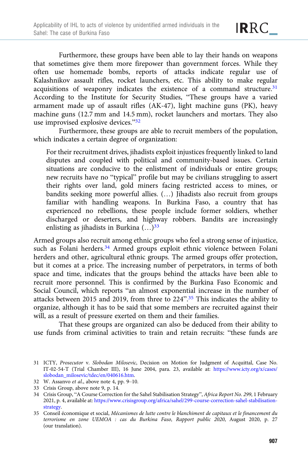Furthermore, these groups have been able to lay their hands on weapons that sometimes give them more firepower than government forces. While they often use homemade bombs, reports of attacks indicate regular use of Kalashnikov assault rifles, rocket launchers, etc. This ability to make regular acquisitions of weaponry indicates the existence of a command structure.<sup>31</sup> According to the Institute for Security Studies, "These groups have a varied armament made up of assault rifles (AK-47), light machine guns (PK), heavy machine guns (12.7 mm and 14.5 mm), rocket launchers and mortars. They also use improvised explosive devices."<sup>32</sup>

Furthermore, these groups are able to recruit members of the population, which indicates a certain degree of organization:

For their recruitment drives, jihadists exploit injustices frequently linked to land disputes and coupled with political and community-based issues. Certain situations are conducive to the enlistment of individuals or entire groups; new recruits have no "typical" profile but may be civilians struggling to assert their rights over land, gold miners facing restricted access to mines, or bandits seeking more powerful allies. (…) Jihadists also recruit from groups familiar with handling weapons. In Burkina Faso, a country that has experienced no rebellions, these people include former soldiers, whether discharged or deserters, and highway robbers. Bandits are increasingly enlisting as jihadists in Burkina  $(...)$ <sup>33</sup>

Armed groups also recruit among ethnic groups who feel a strong sense of injustice, such as Folani herders.<sup>34</sup> Armed groups exploit ethnic violence between Folani herders and other, agricultural ethnic groups. The armed groups offer protection, but it comes at a price. The increasing number of perpetrators, in terms of both space and time, indicates that the groups behind the attacks have been able to recruit more personnel. This is confirmed by the Burkina Faso Economic and Social Council, which reports "an almost exponential increase in the number of attacks between 2015 and 2019, from three to 224".<sup>35</sup> This indicates the ability to organize, although it has to be said that some members are recruited against their will, as a result of pressure exerted on them and their families.

That these groups are organized can also be deduced from their ability to use funds from criminal activities to train and retain recruits: "these funds are

<sup>31</sup> ICTY, Prosecutor v. Slobodan Milosevic, Decision on Motion for Judgment of Acquittal, Case No. IT-02-54-T (Trial Chamber III), 16 June 2004, para. 23, available at: [https://www.icty.org/x/cases/](https://www.icty.org/x/cases/slobodan_milosevic/tdec/en/040616.htm) [slobodan\\_milosevic/tdec/en/040616.htm.](https://www.icty.org/x/cases/slobodan_milosevic/tdec/en/040616.htm)

<sup>32</sup> W. Assanvo et al., above note 4, pp. 9–10.

<sup>33</sup> Crisis Group, above note 9, p. 14.

<sup>34</sup> Crisis Group, "A Course Correction for the Sahel Stabilisation Strategy", Africa Report No. 299, 1 February 2021, p. 4, available at: [https://www.crisisgroup.org/africa/sahel/299-course-correction-sahel-stabilisation](https://www.crisisgroup.org/africa/sahel/299-course-correction-sahel-stabilisation-strategy)[strategy.](https://www.crisisgroup.org/africa/sahel/299-course-correction-sahel-stabilisation-strategy)

<sup>35</sup> Conseil économique et social, Mécanismes de lutte contre le blanchiment de capitaux et le financement du terrorisme en zone UEMOA : cas du Burkina Faso, Rapport public 2020, August 2020, p. 27 (our translation).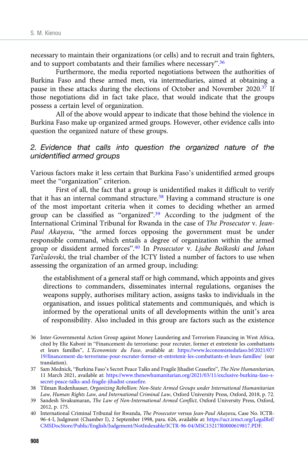necessary to maintain their organizations (or cells) and to recruit and train fighters, and to support combatants and their families where necessary".<sup>36</sup>

Furthermore, the media reported negotiations between the authorities of Burkina Faso and these armed men, via intermediaries, aimed at obtaining a pause in these attacks during the elections of October and November 2020.<sup>37</sup> If those negotiations did in fact take place, that would indicate that the groups possess a certain level of organization.

All of the above would appear to indicate that those behind the violence in Burkina Faso make up organized armed groups. However, other evidence calls into question the organized nature of these groups.

#### 2. Evidence that calls into question the organized nature of the unidentified armed groups

Various factors make it less certain that Burkina Faso's unidentified armed groups meet the "organization" criterion.

First of all, the fact that a group is unidentified makes it difficult to verify that it has an internal command structure.<sup>38</sup> Having a command structure is one of the most important criteria when it comes to deciding whether an armed group can be classified as "organized".<sup>39</sup> According to the judgment of the International Criminal Tribunal for Rwanda in the case of The Prosecutor v. Jean-Paul Akayesu, "the armed forces opposing the government must be under responsible command, which entails a degree of organization within the armed group or dissident armed forces".<sup>40</sup> In Prosecutor v. Ljube Boškoski and Johan Tarculovski, the trial chamber of the ICTY listed a number of factors to use when assessing the organization of an armed group, including:

the establishment of a general staff or high command, which appoints and gives directions to commanders, disseminates internal regulations, organises the weapons supply, authorises military action, assigns tasks to individuals in the organisation, and issues political statements and communiqués, and which is informed by the operational units of all developments within the unit's area of responsibility. Also included in this group are factors such as the existence

- 37 Sam Mednick, "Burkina Faso's Secret Peace Talks and Fragile Jihadist Ceasefire", The New Humanitarian, 11 March 2021, available at: [https://www.thenewhumanitarian.org/2021/03/11/exclusive-burkina-faso-s](https://www.thenewhumanitarian.org/2021/03/11/exclusive-burkina-faso-s-secret-peace-talks-and-fragile-jihadist-ceasefire)[secret-peace-talks-and-fragile-jihadist-ceasefire.](https://www.thenewhumanitarian.org/2021/03/11/exclusive-burkina-faso-s-secret-peace-talks-and-fragile-jihadist-ceasefire)
- 38 Tilman Rodenhauser, Organizing Rebellion: Non-State Armed Groups under International Humanitarian Law, Human Rights Law, and International Criminal Law, Oxford University Press, Oxford, 2018, p. 72.
- 39 Sandesh Sivakumaran, The Law of Non-International Armed Conflict, Oxford University Press, Oxford, 2012, p. 175.

<sup>36</sup> Inter-Governmental Action Group against Money Laundering and Terrorism Financing in West Africa, cited by Elie Kaboré in "Financement du terrorisme: pour recruter, former et entretenir les combattants et leurs familles", L'Economiste du Faso, available at: [https://www.leconomistedufaso.bf/2021/07/](https://www.leconomistedufaso.bf/2021/07/19/financement-du-terrorisme-pour-recruter-former-et-entretenir-les-combattants-et-leurs-familles/) [19/financement-du-terrorisme-pour-recruter-former-et-entretenir-les-combattants-et-leurs-familles/](https://www.leconomistedufaso.bf/2021/07/19/financement-du-terrorisme-pour-recruter-former-et-entretenir-les-combattants-et-leurs-familles/) (our translation).

<sup>40</sup> International Criminal Tribunal for Rwanda, The Prosecutor versus Jean-Paul Akayesu, Case No. ICTR-96-4-I, Judgment (Chamber I), 2 September 1998, para. 626, available at: [https://ucr.irmct.org/LegalRef/](https://ucr.irmct.org/LegalRef/CMSDocStore/Public/English/Judgement/NotIndexable/ICTR-96-04/MSC15217R0000619817.PDF) [CMSDocStore/Public/English/Judgement/NotIndexable/ICTR-96-04/MSC15217R0000619817.PDF.](https://ucr.irmct.org/LegalRef/CMSDocStore/Public/English/Judgement/NotIndexable/ICTR-96-04/MSC15217R0000619817.PDF)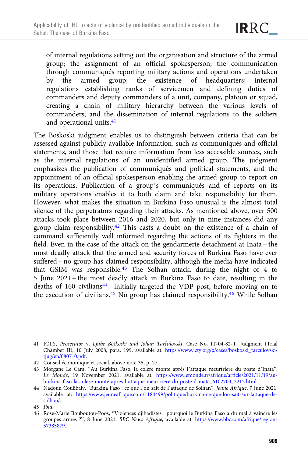of internal regulations setting out the organisation and structure of the armed group; the assignment of an official spokesperson; the communication through communiqués reporting military actions and operations undertaken by the armed group; the existence of headquarters; internal regulations establishing ranks of servicemen and defining duties of commanders and deputy commanders of a unit, company, platoon or squad, creating a chain of military hierarchy between the various levels of commanders; and the dissemination of internal regulations to the soldiers and operational units.<sup>41</sup>

The Boskoski judgment enables us to distinguish between criteria that can be assessed against publicly available information, such as communiqués and official statements, and those that require information from less accessible sources, such as the internal regulations of an unidentified armed group. The judgment emphasizes the publication of communiqués and political statements, and the appointment of an official spokesperson enabling the armed group to report on its operations. Publication of a group's communiqués and of reports on its military operations enables it to both claim and take responsibility for them. However, what makes the situation in Burkina Faso unusual is the almost total silence of the perpetrators regarding their attacks. As mentioned above, over 500 attacks took place between 2016 and 2020, but only in nine instances did any group claim responsibility.<sup>42</sup> This casts a doubt on the existence of a chain of command sufficiently well informed regarding the actions of its fighters in the field. Even in the case of the attack on the gendarmerie detachment at Inata – the most deadly attack that the armed and security forces of Burkina Faso have ever suffered – no group has claimed responsibility, although the media have indicated that GSIM was responsible.43 The Solhan attack, during the night of 4 to 5 June 2021 – the most deadly attack in Burkina Faso to date, resulting in the deaths of 160 civilians $44$  – initially targeted the VDP post, before moving on to the execution of civilians.<sup>45</sup> No group has claimed responsibility.<sup>46</sup> While Solhan

<sup>41</sup> ICTY, Prosecutor v. Ljube Boškoski and Johan Tarčulovski, Case No. IT-04-82-T, Judgment (Trial Chamber II), 10 July 2008, para. 199, available at: [https://www.icty.org/x/cases/boskoski\\_tarculovski/](https://www.icty.org/x/cases/boskoski_tarculovski/tjug/en/080710.pdf) [tjug/en/080710.pdf](https://www.icty.org/x/cases/boskoski_tarculovski/tjug/en/080710.pdf).

<sup>42</sup> Conseil économique et social, above note 35, p. 27.

<sup>43</sup> Morgane Le Cam, "Au Burkina Faso, la colère monte après l'attaque meurtrière du poste d'Inata", Le Monde, 19 November 2021, available at: [https://www.lemonde.fr/afrique/article/2021/11/19/au](https://www.lemonde.fr/afrique/article/2021/11/19/au-burkina-faso-la-colere-monte-apres-l-attaque-meurtriere-du-poste-d-inata_6102704_3212.html)[burkina-faso-la-colere-monte-apres-l-attaque-meurtriere-du-poste-d-inata\\_6102704\\_3212.html](https://www.lemonde.fr/afrique/article/2021/11/19/au-burkina-faso-la-colere-monte-apres-l-attaque-meurtriere-du-poste-d-inata_6102704_3212.html).

<sup>44</sup> Nadoun Coulibaly, "Burkina Faso : ce que l'on sait de l'attaque de Solhan", Jeune Afrique, 7 June 2021, available at: [https://www.jeuneafrique.com/1184499/politique/burkina-ce-que-lon-sait-sur-lattaque-de](https://www.jeuneafrique.com/1184499/politique/burkina-ce-que-lon-sait-sur-lattaque-de-solhan/)[solhan/](https://www.jeuneafrique.com/1184499/politique/burkina-ce-que-lon-sait-sur-lattaque-de-solhan/).

<sup>45</sup> Ibid.

<sup>46</sup> Rose-Marie Bouboutou-Poos, "Violences djihadistes : pourquoi le Burkina Faso a du mal à vaincre les groupes armés ?", 8 June 2021, BBC News Afrique, available at: [https://www.bbc.com/afrique/region-](https://www.bbc.com/afrique/region-57385879)[57385879](https://www.bbc.com/afrique/region-57385879).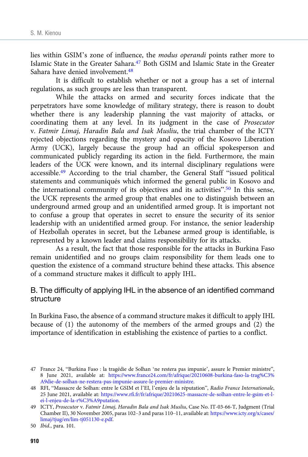lies within GSIM's zone of influence, the modus operandi points rather more to Islamic State in the Greater Sahara. $47$  Both GSIM and Islamic State in the Greater Sahara have denied involvement<sup>48</sup>

It is difficult to establish whether or not a group has a set of internal regulations, as such groups are less than transparent.

While the attacks on armed and security forces indicate that the perpetrators have some knowledge of military strategy, there is reason to doubt whether there is any leadership planning the vast majority of attacks, or coordinating them at any level. In its judgment in the case of Prosecutor v. Fatmir Limaj, Haradin Bala and Isak Musliu, the trial chamber of the ICTY rejected objections regarding the mystery and opacity of the Kosovo Liberation Army (UCK), largely because the group had an official spokesperson and communicated publicly regarding its action in the field. Furthermore, the main leaders of the UCK were known, and its internal disciplinary regulations were accessible.49 According to the trial chamber, the General Staff "issued political statements and communiqués which informed the general public in Kosovo and the international community of its objectives and its activities".<sup>50</sup> In this sense, the UCK represents the armed group that enables one to distinguish between an underground armed group and an unidentified armed group. It is important not to confuse a group that operates in secret to ensure the security of its senior leadership with an unidentified armed group. For instance, the senior leadership of Hezbollah operates in secret, but the Lebanese armed group is identifiable, is represented by a known leader and claims responsibility for its attacks.

As a result, the fact that those responsible for the attacks in Burkina Faso remain unidentified and no groups claim responsibility for them leads one to question the existence of a command structure behind these attacks. This absence of a command structure makes it difficult to apply IHL.

#### B. The difficulty of applying IHL in the absence of an identified command structure

In Burkina Faso, the absence of a command structure makes it difficult to apply IHL because of (1) the autonomy of the members of the armed groups and (2) the importance of identification in establishing the existence of parties to a conflict.

<sup>47</sup> France 24, "Burkina Faso : la tragédie de Solhan 'ne restera pas impunie', assure le Premier ministre", 8 June 2021, available at: [https://www.france24.com/fr/afrique/20210608-burkina-faso-la-trag%C3%](https://www.france24.com/fr/afrique/20210608-burkina-faso-la-trag%C3%A9die-de-solhan-ne-restera-pas-impunie-assure-le-premier-ministre) [A9die-de-solhan-ne-restera-pas-impunie-assure-le-premier-ministre.](https://www.france24.com/fr/afrique/20210608-burkina-faso-la-trag%C3%A9die-de-solhan-ne-restera-pas-impunie-assure-le-premier-ministre)

<sup>48</sup> RFI, "Massacre de Solhan: entre le GSIM et l'EI, l'enjeu de la réputation", Radio France Internationale, 25 June 2021, available at: [https://www.rfi.fr/fr/afrique/20210625-massacre-de-solhan-entre-le-gsim-et-l](https://www.rfi.fr/fr/afrique/20210625-massacre-de-solhan-entre-le-gsim-et-l-ei-l-enjeu-de-la-r%C3%A9putation)[ei-l-enjeu-de-la-r%C3%A9putation](https://www.rfi.fr/fr/afrique/20210625-massacre-de-solhan-entre-le-gsim-et-l-ei-l-enjeu-de-la-r%C3%A9putation).

<sup>49</sup> ICTY, Prosecutor v. Fatmir Limaj, Haradin Bala and Isak Musliu, Case No. IT-03-66-T, Judgment (Trial Chamber II), 30 November 2005, paras 102–3 and paras 110–11, available at: [https://www.icty.org/x/cases/](https://www.icty.org/x/cases/limaj/tjug/en/lim-tj051130-e.pdf) [limaj/tjug/en/lim-tj051130-e.pdf](https://www.icty.org/x/cases/limaj/tjug/en/lim-tj051130-e.pdf).

<sup>50</sup> Ibid., para. 101.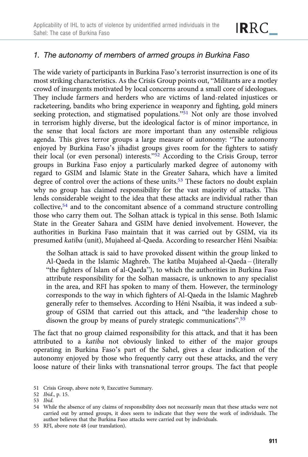

## 1. The autonomy of members of armed groups in Burkina Faso

The wide variety of participants in Burkina Faso's terrorist insurrection is one of its most striking characteristics. As the Crisis Group points out, "Militants are a motley crowd of insurgents motivated by local concerns around a small core of ideologues. They include farmers and herders who are victims of land-related injustices or racketeering, bandits who bring experience in weaponry and fighting, gold miners seeking protection, and stigmatised populations."<sup>51</sup> Not only are those involved in terrorism highly diverse, but the ideological factor is of minor importance, in the sense that local factors are more important than any ostensible religious agenda. This gives terror groups a large measure of autonomy: "The autonomy enjoyed by Burkina Faso's jihadist groups gives room for the fighters to satisfy their local (or even personal) interests."<sup>52</sup> According to the Crisis Group, terror groups in Burkina Faso enjoy a particularly marked degree of autonomy with regard to GSIM and Islamic State in the Greater Sahara, which have a limited degree of control over the actions of these units.<sup>53</sup> These factors no doubt explain why no group has claimed responsibility for the vast majority of attacks. This lends considerable weight to the idea that these attacks are individual rather than collective,54 and to the concomitant absence of a command structure controlling those who carry them out. The Solhan attack is typical in this sense. Both Islamic State in the Greater Sahara and GSIM have denied involvement. However, the authorities in Burkina Faso maintain that it was carried out by GSIM, via its presumed katiba (unit), Mujaheed al-Qaeda. According to researcher Héni Nsaibia:

the Solhan attack is said to have provoked dissent within the group linked to Al-Qaeda in the Islamic Maghreb. The katiba Mujaheed al-Qaeda – (literally "the fighters of Islam of al-Qaeda"), to which the authorities in Burkina Faso attribute responsibility for the Solhan massacre, is unknown to any specialist in the area, and RFI has spoken to many of them. However, the terminology corresponds to the way in which fighters of Al-Qaeda in the Islamic Maghreb generally refer to themselves. According to Héni Nsaibia, it was indeed a subgroup of GSIM that carried out this attack, and "the leadership chose to disown the group by means of purely strategic communications".<sup>55</sup>

The fact that no group claimed responsibility for this attack, and that it has been attributed to a katiba not obviously linked to either of the major groups operating in Burkina Faso's part of the Sahel, gives a clear indication of the autonomy enjoyed by those who frequently carry out these attacks, and the very loose nature of their links with transnational terror groups. The fact that people

55 RFI, above note 48 (our translation).

<sup>51</sup> Crisis Group, above note 9, Executive Summary.

<sup>52</sup> Ibid., p. 15.

<sup>53</sup> Ibid.

<sup>54</sup> While the absence of any claims of responsibility does not necessarily mean that these attacks were not carried out by armed groups, it does seem to indicate that they were the work of individuals. The author believes that the Burkina Faso attacks were carried out by individuals.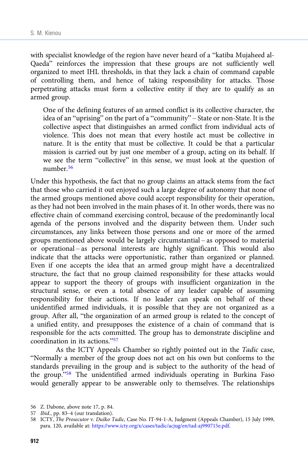with specialist knowledge of the region have never heard of a "katiba Mujaheed al-Qaeda" reinforces the impression that these groups are not sufficiently well organized to meet IHL thresholds, in that they lack a chain of command capable of controlling them, and hence of taking responsibility for attacks. Those perpetrating attacks must form a collective entity if they are to qualify as an armed group.

One of the defining features of an armed conflict is its collective character, the idea of an "uprising" on the part of a "community" – State or non-State. It is the collective aspect that distinguishes an armed conflict from individual acts of violence. This does not mean that every hostile act must be collective in nature. It is the entity that must be collective. It could be that a particular mission is carried out by just one member of a group, acting on its behalf. If we see the term "collective" in this sense, we must look at the question of number.56

Under this hypothesis, the fact that no group claims an attack stems from the fact that those who carried it out enjoyed such a large degree of autonomy that none of the armed groups mentioned above could accept responsibility for their operation, as they had not been involved in the main phases of it. In other words, there was no effective chain of command exercising control, because of the predominantly local agenda of the persons involved and the disparity between them. Under such circumstances, any links between those persons and one or more of the armed groups mentioned above would be largely circumstantial – as opposed to material or operational – as personal interests are highly significant. This would also indicate that the attacks were opportunistic, rather than organized or planned. Even if one accepts the idea that an armed group might have a decentralized structure, the fact that no group claimed responsibility for these attacks would appear to support the theory of groups with insufficient organization in the structural sense, or even a total absence of any leader capable of assuming responsibility for their actions. If no leader can speak on behalf of these unidentified armed individuals, it is possible that they are not organized as a group. After all, "the organization of an armed group is related to the concept of a unified entity, and presupposes the existence of a chain of command that is responsible for the acts committed. The group has to demonstrate discipline and coordination in its actions."<sup>57</sup>

As the ICTY Appeals Chamber so rightly pointed out in the Tadic case, "Normally a member of the group does not act on his own but conforms to the standards prevailing in the group and is subject to the authority of the head of the group."<sup>58</sup> The unidentified armed individuals operating in Burkina Faso would generally appear to be answerable only to themselves. The relationships

<sup>56</sup> Z. Dabone, above note 17, p. 84.

<sup>57</sup> Ibid., pp. 83–4 (our translation).

<sup>58</sup> ICTY, The Prosecutor v. Duško Tadic, Case No. IT-94-1-A, Judgment (Appeals Chamber), 15 July 1999, para. 120, available at: [https://www.icty.org/x/cases/tadic/acjug/en/tad-aj990715e.pdf.](https://www.icty.org/x/cases/tadic/acjug/en/tad-aj990715e.pdf)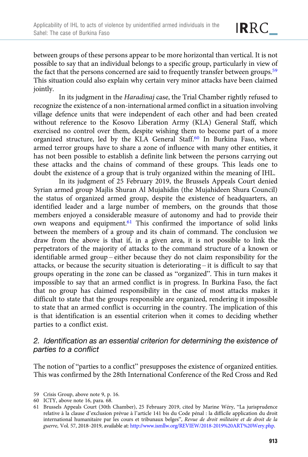between groups of these persons appear to be more horizontal than vertical. It is not possible to say that an individual belongs to a specific group, particularly in view of the fact that the persons concerned are said to frequently transfer between groups.<sup>59</sup> This situation could also explain why certain very minor attacks have been claimed jointly.

In its judgment in the Haradinaj case, the Trial Chamber rightly refused to recognize the existence of a non-international armed conflict in a situation involving village defence units that were independent of each other and had been created without reference to the Kosovo Liberation Army (KLA) General Staff, which exercised no control over them, despite wishing them to become part of a more organized structure, led by the KLA General Staff.<sup>60</sup> In Burkina Faso, where armed terror groups have to share a zone of influence with many other entities, it has not been possible to establish a definite link between the persons carrying out these attacks and the chains of command of these groups. This leads one to doubt the existence of a group that is truly organized within the meaning of IHL.

In its judgment of 25 February 2019, the Brussels Appeals Court denied Syrian armed group Majlis Shuran Al Mujahidin (the Mujahideen Shura Council) the status of organized armed group, despite the existence of headquarters, an identified leader and a large number of members, on the grounds that those members enjoyed a considerable measure of autonomy and had to provide their own weapons and equipment.61 This confirmed the importance of solid links between the members of a group and its chain of command. The conclusion we draw from the above is that if, in a given area, it is not possible to link the perpetrators of the majority of attacks to the command structure of a known or identifiable armed group – either because they do not claim responsibility for the attacks, or because the security situation is deteriorating – it is difficult to say that groups operating in the zone can be classed as "organized". This in turn makes it impossible to say that an armed conflict is in progress. In Burkina Faso, the fact that no group has claimed responsibility in the case of most attacks makes it difficult to state that the groups responsible are organized, rendering it impossible to state that an armed conflict is occurring in the country. The implication of this is that identification is an essential criterion when it comes to deciding whether parties to a conflict exist.

#### 2. Identification as an essential criterion for determining the existence of parties to a conflict

The notion of "parties to a conflict" presupposes the existence of organized entities. This was confirmed by the 28th International Conference of the Red Cross and Red

<sup>59</sup> Crisis Group, above note 9, p. 16.

<sup>60</sup> ICTY, above note 16, para. 68.

<sup>61</sup> Brussels Appeals Court (30th Chamber), 25 February 2019, cited by Marine Wéry, "La jurisprudence relative à la clause d'exclusion prévue à l'article 141 bis du Code pénal : la difficile application du droit international humanitaire par les cours et tribunaux belges", Revue de droit militaire et de droit de la guerre, Vol. 57, 2018–2019, available at: [http://www.ismllw.org/REVIEW/2018-2019%20ART%20Wery.php.](http://www.ismllw.org/REVIEW/2018-2019%20ART%20Wery.php)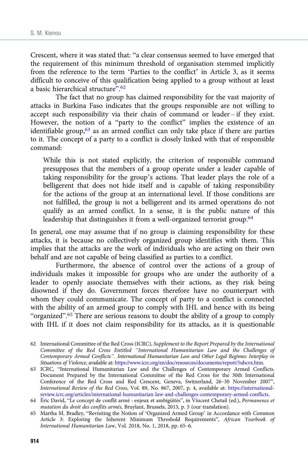Crescent, where it was stated that: "a clear consensus seemed to have emerged that the requirement of this minimum threshold of organisation stemmed implicitly from the reference to the term 'Parties to the conflict' in Article 3, as it seems difficult to conceive of this qualification being applied to a group without at least a basic hierarchical structure". 62

The fact that no group has claimed responsibility for the vast majority of attacks in Burkina Faso indicates that the groups responsible are not willing to accept such responsibility via their chain of command or leader – if they exist. However, the notion of a "party to the conflict" implies the existence of an identifiable group,<sup>63</sup> as an armed conflict can only take place if there are parties to it. The concept of a party to a conflict is closely linked with that of responsible command:

While this is not stated explicitly, the criterion of responsible command presupposes that the members of a group operate under a leader capable of taking responsibility for the group's actions. That leader plays the role of a belligerent that does not hide itself and is capable of taking responsibility for the actions of the group at an international level. If those conditions are not fulfilled, the group is not a belligerent and its armed operations do not qualify as an armed conflict. In a sense, it is the public nature of this leadership that distinguishes it from a well-organized terrorist group.<sup>64</sup>

In general, one may assume that if no group is claiming responsibility for these attacks, it is because no collectively organized group identifies with them. This implies that the attacks are the work of individuals who are acting on their own behalf and are not capable of being classified as parties to a conflict.

Furthermore, the absence of control over the actions of a group of individuals makes it impossible for groups who are under the authority of a leader to openly associate themselves with their actions, as they risk being disowned if they do. Government forces therefore have no counterpart with whom they could communicate. The concept of party to a conflict is connected with the ability of an armed group to comply with IHL and hence with its being "organized".<sup>65</sup> There are serious reasons to doubt the ability of a group to comply with IHL if it does not claim responsibility for its attacks, as it is questionable

63 ICRC, "International Humanitarian Law and the Challenges of Contemporary Armed Conflicts. Document Prepared by the International Committee of the Red Cross for the 30th International Conference of the Red Cross and Red Crescent, Geneva, Switzerland, 26–30 November 2007", International Review of the Red Cross, Vol. 89, No. 867, 2007, p. 4, available at: [https://international](https://international-review.icrc.org/articles/international-humanitarian-law-and-challenges-contemporary-armed-conflicts)[review.icrc.org/articles/international-humanitarian-law-and-challenges-contemporary-armed-conflicts](https://international-review.icrc.org/articles/international-humanitarian-law-and-challenges-contemporary-armed-conflicts).

<sup>62</sup> International Committee of the Red Cross (ICRC), Supplement to the Report Prepared by the International Committee of the Red Cross Entitled "International Humanitarian Law and the Challenges of Contemporary Armed Conflicts". International Humanitarian Law and Other Legal Regimes: Interplay in Situations of Violence, available at: <https://www.icrc.org/en/doc/resources/documents/report/5ubcvx.htm>.

<sup>64</sup> Éric David, "Le concept de conflit armé : enjeux et ambigüités", in Vincent Chetail (ed.), Permanence et mutation du droit des conflits armés, Bruylant, Brussels, 2013, p. 5 (our translation).

<sup>65</sup> Martha M. Bradley, "Revisiting the Notion of 'Organized Armed Group' in Accordance with Common Article 3: Exploring the Inherent Minimum Threshold Requirements", African Yearbook of International Humanitarian Law, Vol. 2018, No. 1, 2018, pp. 65–6.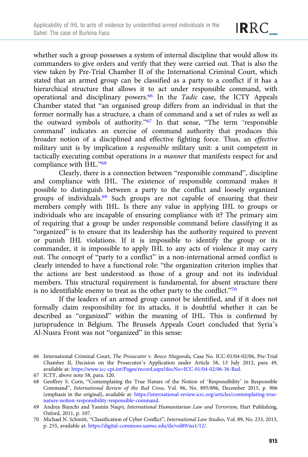whether such a group possesses a system of internal discipline that would allow its commanders to give orders and verify that they were carried out. That is also the view taken by Pre-Trial Chamber II of the International Criminal Court, which stated that an armed group can be classified as a party to a conflict if it has a hierarchical structure that allows it to act under responsible command, with operational and disciplinary powers.66 In the Tadic case, the ICTY Appeals Chamber stated that "an organised group differs from an individual in that the former normally has a structure, a chain of command and a set of rules as well as the outward symbols of authority."<sup>67</sup> In that sense, "The term 'responsible command' indicates an exercise of command authority that produces this broader notion of a disciplined and effective fighting force. Thus, an effective military unit is by implication a responsible military unit: a unit competent in tactically executing combat operations in a manner that manifests respect for and compliance with IHL."68

Clearly, there is a connection between "responsible command", discipline and compliance with IHL. The existence of responsible command makes it possible to distinguish between a party to the conflict and loosely organized groups of individuals.69 Such groups are not capable of ensuring that their members comply with IHL. Is there any value in applying IHL to groups or individuals who are incapable of ensuring compliance with it? The primary aim of requiring that a group be under responsible command before classifying it as "organized" is to ensure that its leadership has the authority required to prevent or punish IHL violations. If it is impossible to identify the group or its commander, it is impossible to apply IHL to any acts of violence it may carry out. The concept of "party to a conflict" in a non-international armed conflict is clearly intended to have a functional role: "the organization criterion implies that the actions are best understood as those of a group and not its individual members. This structural requirement is fundamental, for absent structure there is no identifiable enemy to treat as the other party to the conflict."<sup>70</sup>

If the leaders of an armed group cannot be identified, and if it does not formally claim responsibility for its attacks, it is doubtful whether it can be described as "organized" within the meaning of IHL. This is confirmed by jurisprudence in Belgium. The Brussels Appeals Court concluded that Syria's Al-Nusra Front was not "organized" in this sense:

<sup>66</sup> International Criminal Court, The Prosecutor v. Bosco Ntaganda, Case No. ICC-01/04-02/06, Pre-Trial Chamber II, Decision on the Prosecutor's Application under Article 58, 13 July 2012, para 49, available at: <https://www.icc-cpi.int/Pages/record.aspx?docNo=ICC-01/04-02/06-36-Red>.

<sup>67</sup> ICTY, above note 58, para. 120.

<sup>68</sup> Geoffrey S. Corn, "Contemplating the True Nature of the Notion of 'Responsibility' in Responsible Command", International Review of the Red Cross, Vol. 96, No. 895/896, December 2015, p. 906 (emphasis in the original), available at: [https://international-review.icrc.org/articles/contemplating-true](https://international-review.icrc.org/articles/contemplating-true-nature-notion-responsibility-responsible-command)[nature-notion-responsibility-responsible-command.](https://international-review.icrc.org/articles/contemplating-true-nature-notion-responsibility-responsible-command)

<sup>69</sup> Andrea Bianchi and Yasmin Naqvi, International Humanitarian Law and Terrorism, Hart Publishing, Oxford, 2011, p. 107.

<sup>70</sup> Michael N. Schmitt, "Classification of Cyber Conflict", International Law Studies, Vol. 89, No. 233, 2013, p. 255, available at: [https://digital-commons.usnwc.edu/ils/vol89/iss1/12/.](https://digital-commons.usnwc.edu/ils/vol89/iss1/12/)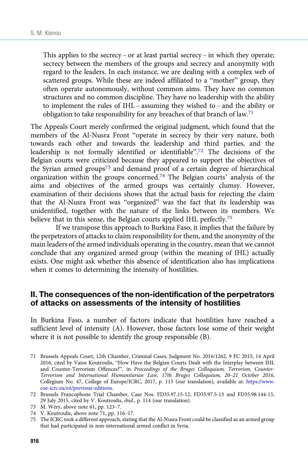This applies to the secrecy – or at least partial secrecy – in which they operate; secrecy between the members of the groups and secrecy and anonymity with regard to the leaders. In each instance, we are dealing with a complex web of scattered groups. While these are indeed affiliated to a "mother" group, they often operate autonomously, without common aims. They have no common structures and no common discipline. They have no leadership with the ability to implement the rules of IHL – assuming they wished to – and the ability or obligation to take responsibility for any breaches of that branch of law.<sup>71</sup>

The Appeals Court merely confirmed the original judgment, which found that the members of the Al-Nusra Front "operate in secrecy by their very nature, both towards each other and towards the leadership and third parties, and the leadership is not formally identified or identifiable". <sup>72</sup> The decisions of the Belgian courts were criticized because they appeared to support the objectives of the Syrian armed groups<sup>73</sup> and demand proof of a certain degree of hierarchical organization within the groups concerned.74 The Belgian courts' analysis of the aims and objectives of the armed groups was certainly clumsy. However, examination of their decisions shows that the actual basis for rejecting the claim that the Al-Nusra Front was "organized" was the fact that its leadership was unidentified, together with the nature of the links between its members. We believe that in this sense, the Belgian courts applied IHL perfectly.<sup>75</sup>

If we transpose this approach to Burkina Faso, it implies that the failure by the perpetrators of attacks to claim responsibility for them, and the anonymity of the main leaders of the armed individuals operating in the country, mean that we cannot conclude that any organized armed group (within the meaning of IHL) actually exists. One might ask whether this absence of identification also has implications when it comes to determining the intensity of hostilities.

## II. The consequences of the non-identification of the perpetrators of attacks on assessments of the intensity of hostilities

In Burkina Faso, a number of factors indicate that hostilities have reached a sufficient level of intensity (A). However, those factors lose some of their weight where it is not possible to identify the group responsible (B).

- 71 Brussels Appeals Court, 12th Chamber, Criminal Cases, Judgment No. 2016/1262, 9 FC 2015, 14 April 2016, cited by Vaios Koutroulis, "How Have the Belgian Courts Dealt with the Interplay between IHL and Counter-Terrorism Offences?", in Proceedings of the Bruges Colloquium, Terrorism, Counter-Terrorism and International Humanitarian Law, 17th Bruges Colloquium, 20–21 October 2016, Collegium No. 47, College of Europe/ICRC, 2017, p. 115 (our translation), available at: [https://www.](https://www.coe-icrc.eu/en/previous-editions) [coe-icrc.eu/en/previous-editions.](https://www.coe-icrc.eu/en/previous-editions)
- 72 Brussels Francophone Trial Chamber, Case Nos. FD35.97.15-12, FD35.97.5-13 and FD35.98.144-15, 29 July 2015, cited by V. Koutroulis, ibid., p. 114 (our translation).
- 73 M. Wéry, above note 61, pp. 123–7.
- 74 V. Koutroulis, above note 71, pp. 116–17.
- 75 The ICRC took a different approach, stating that the Al-Nusra Front could be classified as an armed group that had participated in non-international armed conflict in Syria.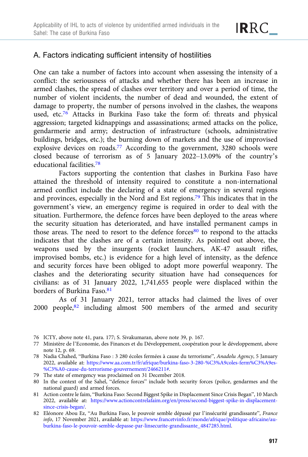## A. Factors indicating sufficient intensity of hostilities

One can take a number of factors into account when assessing the intensity of a conflict: the seriousness of attacks and whether there has been an increase in armed clashes, the spread of clashes over territory and over a period of time, the number of violent incidents, the number of dead and wounded, the extent of damage to property, the number of persons involved in the clashes, the weapons used, etc.<sup>76</sup> Attacks in Burkina Faso take the form of: threats and physical aggression; targeted kidnappings and assassinations; armed attacks on the police, gendarmerie and army; destruction of infrastructure (schools, administrative buildings, bridges, etc.); the burning down of markets and the use of improvised explosive devices on roads.<sup>77</sup> According to the government, 3280 schools were closed because of terrorism as of 5 January 2022–13.09% of the country's educational facilities.78

Factors supporting the contention that clashes in Burkina Faso have attained the threshold of intensity required to constitute a non-international armed conflict include the declaring of a state of emergency in several regions and provinces, especially in the Nord and Est regions.79 This indicates that in the government's view, an emergency regime is required in order to deal with the situation. Furthermore, the defence forces have been deployed to the areas where the security situation has deteriorated, and have installed permanent camps in those areas. The need to resort to the defence forces $80$  to respond to the attacks indicates that the clashes are of a certain intensity. As pointed out above, the weapons used by the insurgents (rocket launchers, AK-47 assault rifles, improvised bombs, etc.) is evidence for a high level of intensity, as the defence and security forces have been obliged to adopt more powerful weaponry. The clashes and the deteriorating security situation have had consequences for civilians: as of 31 January 2022, 1,741,655 people were displaced within the borders of Burkina Faso.81

As of 31 January 2021, terror attacks had claimed the lives of over 2000 people, $82$  including almost 500 members of the armed and security

- 76 ICTY, above note 41, para. 177; S. Sivakumaran, above note 39, p. 167.
- 77 Ministère de l'Economie, des Finances et du Développement, coopération pour le développement, above note 12, p. 69.
- 78 Nadia Chahed, "Burkina Faso : 3 280 écoles fermées à cause du terrorisme", Anadolu Agency, 5 January 2022, available at: [https://www.aa.com.tr/fr/afrique/burkina-faso-3-280-%C3%A9coles-ferm%C3%A9es-](https://www.aa.com.tr/fr/afrique/burkina-faso-3-280-%C3%A9coles-ferm%C3%A9es-%C3%A0-cause-du-terrorisme-gouvernement/2466211%23) [%C3%A0-cause-du-terrorisme-gouvernement/2466211#](https://www.aa.com.tr/fr/afrique/burkina-faso-3-280-%C3%A9coles-ferm%C3%A9es-%C3%A0-cause-du-terrorisme-gouvernement/2466211%23).
- 79 The state of emergency was proclaimed on 31 December 2018.
- 80 In the context of the Sahel, "defence forces" include both security forces (police, gendarmes and the national guard) and armed forces.
- 81 Action contre le faim, "Burkina Faso: Second Biggest Spike in Displacement Since Crisis Began", 10 March 2022, available at: [https://www.actioncontrelafaim.org/en/press/second-biggest-spike-in-displacement](https://www.actioncontrelafaim.org/en/press/second-biggest-spike-in-displacement-since-crisis-began/)[since-crisis-began/](https://www.actioncontrelafaim.org/en/press/second-biggest-spike-in-displacement-since-crisis-began/).
- 82 Eléonore Abou Ez, "Au Burkina Faso, le pouvoir semble dépassé par l'insécurité grandissante", France info, 17 November 2021, available at: [https://www.francetvinfo.fr/monde/afrique/politique-africaine/au](https://www.francetvinfo.fr/monde/afrique/politique-africaine/au-burkina-faso-le-pouvoir-semble-depasse-par-linsecurite-grandissante_4847285.html)[burkina-faso-le-pouvoir-semble-depasse-par-linsecurite-grandissante\\_4847285.html](https://www.francetvinfo.fr/monde/afrique/politique-africaine/au-burkina-faso-le-pouvoir-semble-depasse-par-linsecurite-grandissante_4847285.html).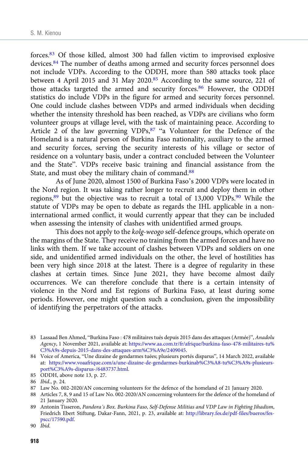forces.83 Of those killed, almost 300 had fallen victim to improvised explosive devices.84 The number of deaths among armed and security forces personnel does not include VDPs. According to the ODDH, more than 580 attacks took place between 4 April 2015 and 31 May 2020.<sup>85</sup> According to the same source, 221 of those attacks targeted the armed and security forces.<sup>86</sup> However, the ODDH statistics do include VDPs in the figure for armed and security forces personnel. One could include clashes between VDPs and armed individuals when deciding whether the intensity threshold has been reached, as VDPs are civilians who form volunteer groups at village level, with the task of maintaining peace. According to Article 2 of the law governing VDPs,<sup>87</sup> "a Volunteer for the Defence of the Homeland is a natural person of Burkina Faso nationality, auxiliary to the armed and security forces, serving the security interests of his village or sector of residence on a voluntary basis, under a contract concluded between the Volunteer and the State". VDPs receive basic training and financial assistance from the State, and must obey the military chain of command.<sup>88</sup>

As of June 2020, almost 1500 of Burkina Faso's 2000 VDPs were located in the Nord region. It was taking rather longer to recruit and deploy them in other regions,89 but the objective was to recruit a total of 13,000 VDPs.90 While the statute of VDPs may be open to debate as regards the IHL applicable in a noninternational armed conflict, it would currently appear that they can be included when assessing the intensity of clashes with unidentified armed groups.

This does not apply to the kolg-weogo self-defence groups, which operate on the margins of the State. They receive no training from the armed forces and have no links with them. If we take account of clashes between VDPs and soldiers on one side, and unidentified armed individuals on the other, the level of hostilities has been very high since 2018 at the latest. There is a degree of regularity in these clashes at certain times. Since June 2021, they have become almost daily occurrences. We can therefore conclude that there is a certain intensity of violence in the Nord and Est regions of Burkina Faso, at least during some periods. However, one might question such a conclusion, given the impossibility of identifying the perpetrators of the attacks.

<sup>83</sup> Lassaad Ben Ahmed, "Burkina Faso : 478 militaires tués depuis 2015 dans des attaques (Armée)", Anadolu Agency, 1 November 2021, available at: [https://www.aa.com.tr/fr/afrique/burkina-faso-478-militaires-tu%](https://www.aa.com.tr/fr/afrique/burkina-faso-478-militaires-tu%C3%A9s-depuis-2015-dans-des-attaques-arm%C3%A9e/2409045) [C3%A9s-depuis-2015-dans-des-attaques-arm%C3%A9e/2409045](https://www.aa.com.tr/fr/afrique/burkina-faso-478-militaires-tu%C3%A9s-depuis-2015-dans-des-attaques-arm%C3%A9e/2409045).

<sup>84</sup> Voice of America, "Une dizaine de gendarmes tuées; plusieurs portés disparus", 14 March 2022, available at: [https://www.voaafrique.com/a/une-dizaine-de-gendarmes-burkinab%C3%A8-tu%C3%A9s-plusieurs](https://www.voaafrique.com/a/une-dizaine-de-gendarmes-burkinab%C3%A8-tu%C3%A9s-plusieurs-port%C3%A9s-disparus-/6483737.html)[port%C3%A9s-disparus-/6483737.html.](https://www.voaafrique.com/a/une-dizaine-de-gendarmes-burkinab%C3%A8-tu%C3%A9s-plusieurs-port%C3%A9s-disparus-/6483737.html)

<sup>85</sup> ODDH, above note 13, p. 27.

<sup>86</sup> Ibid., p. 24.

<sup>87</sup> Law No. 002-2020/AN concerning volunteers for the defence of the homeland of 21 January 2020.

<sup>88</sup> Articles 7, 8, 9 and 15 of Law No. 002-2020/AN concerning volunteers for the defence of the homeland of 21 January 2020.

<sup>89</sup> Antonin Tisseron, Pandora's Box. Burkina Faso, Self-Defense Militias and VDP Law in Fighting Jihadism, Friedrich Ebert Stiftung, Dakar-Fann, 2021, p. 23, available at: [http://library.fes.de/pdf-files/bueros/fes](http://library.fes.de/pdf-files/bueros/fes-pscc/17590.pdf)[pscc/17590.pdf](http://library.fes.de/pdf-files/bueros/fes-pscc/17590.pdf).

<sup>90</sup> Ibid.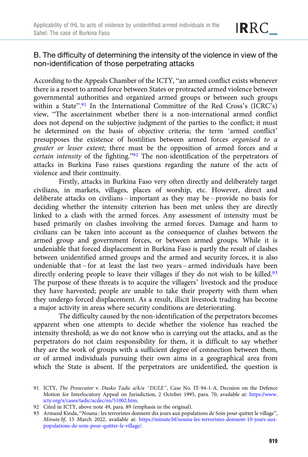### B. The difficulty of determining the intensity of the violence in view of the non-identification of those perpetrating attacks

According to the Appeals Chamber of the ICTY, "an armed conflict exists whenever there is a resort to armed force between States or protracted armed violence between governmental authorities and organized armed groups or between such groups within a State".<sup>91</sup> In the International Committee of the Red Cross's (ICRC's) view, "The ascertainment whether there is a non-international armed conflict does not depend on the subjective judgment of the parties to the conflict; it must be determined on the basis of objective criteria; the term 'armed conflict' presupposes the existence of hostilities between armed forces organised to a greater or lesser extent; there must be the opposition of armed forces and a certain intensity of the fighting."<sup>92</sup> The non-identification of the perpetrators of attacks in Burkina Faso raises questions regarding the nature of the acts of violence and their continuity.

Firstly, attacks in Burkina Faso very often directly and deliberately target civilians, in markets, villages, places of worship, etc. However, direct and deliberate attacks on civilians – important as they may be – provide no basis for deciding whether the intensity criterion has been met unless they are directly linked to a clash with the armed forces. Any assessment of intensity must be based primarily on clashes involving the armed forces. Damage and harm to civilians can be taken into account as the consequence of clashes between the armed group and government forces, or between armed groups. While it is undeniable that forced displacement in Burkina Faso is partly the result of clashes between unidentified armed groups and the armed and security forces, it is also undeniable that – for at least the last two years – armed individuals have been directly ordering people to leave their villages if they do not wish to be killed.<sup>93</sup> The purpose of these threats is to acquire the villagers' livestock and the produce they have harvested; people are unable to take their property with them when they undergo forced displacement. As a result, illicit livestock trading has become a major activity in areas where security conditions are deteriorating.

The difficulty caused by the non-identification of the perpetrators becomes apparent when one attempts to decide whether the violence has reached the intensity threshold; as we do not know who is carrying out the attacks, and as the perpetrators do not claim responsibility for them, it is difficult to say whether they are the work of groups with a sufficient degree of connection between them, or of armed individuals pursuing their own aims in a geographical area from which the State is absent. If the perpetrators are unidentified, the question is

<sup>91</sup> ICTY, The Prosecutor v. Dusko Tadic a/k/a "DULE", Case No. IT-94-1-A, Decision on the Defence Motion for Interlocutory Appeal on Jurisdiction, 2 October 1995, para. 70, available at: [https://www.](https://www.icty.org/x/cases/tadic/acdec/en/51002.htm) [icty.org/x/cases/tadic/acdec/en/51002.htm](https://www.icty.org/x/cases/tadic/acdec/en/51002.htm).

<sup>92</sup> Cited in ICTY, above note 49, para. 89 (emphasis in the original).

<sup>93</sup> Armand Kinda, "Nouna : les terroristes donnent dix jours aux populations de Soin pour quitter le village", Minute.bf, 15 March 2022, available at: [https://minute.bf/nouna-les-terroristes-donnent-10-jours-aux](https://minute.bf/nouna-les-terroristes-donnent-10-jours-aux-populations-de-soin-pour-quitter-le-village/)[populations-de-soin-pour-quitter-le-village/.](https://minute.bf/nouna-les-terroristes-donnent-10-jours-aux-populations-de-soin-pour-quitter-le-village/)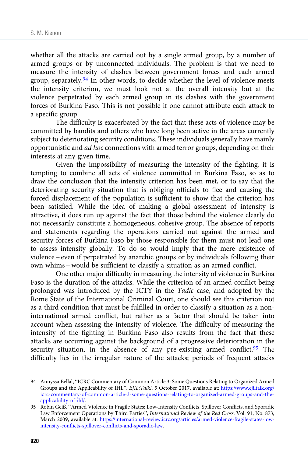whether all the attacks are carried out by a single armed group, by a number of armed groups or by unconnected individuals. The problem is that we need to measure the intensity of clashes between government forces and each armed group, separately.<sup>94</sup> In other words, to decide whether the level of violence meets the intensity criterion, we must look not at the overall intensity but at the violence perpetrated by each armed group in its clashes with the government forces of Burkina Faso. This is not possible if one cannot attribute each attack to a specific group.

The difficulty is exacerbated by the fact that these acts of violence may be committed by bandits and others who have long been active in the areas currently subject to deteriorating security conditions. These individuals generally have mainly opportunistic and ad hoc connections with armed terror groups, depending on their interests at any given time.

Given the impossibility of measuring the intensity of the fighting, it is tempting to combine all acts of violence committed in Burkina Faso, so as to draw the conclusion that the intensity criterion has been met, or to say that the deteriorating security situation that is obliging officials to flee and causing the forced displacement of the population is sufficient to show that the criterion has been satisfied. While the idea of making a global assessment of intensity is attractive, it does run up against the fact that those behind the violence clearly do not necessarily constitute a homogeneous, cohesive group. The absence of reports and statements regarding the operations carried out against the armed and security forces of Burkina Faso by those responsible for them must not lead one to assess intensity globally. To do so would imply that the mere existence of violence – even if perpetrated by anarchic groups or by individuals following their own whims – would be sufficient to classify a situation as an armed conflict.

One other major difficulty in measuring the intensity of violence in Burkina Faso is the duration of the attacks. While the criterion of an armed conflict being prolonged was introduced by the ICTY in the Tadic case, and adopted by the Rome State of the International Criminal Court, one should see this criterion not as a third condition that must be fulfilled in order to classify a situation as a noninternational armed conflict, but rather as a factor that should be taken into account when assessing the intensity of violence. The difficulty of measuring the intensity of the fighting in Burkina Faso also results from the fact that these attacks are occurring against the background of a progressive deterioration in the security situation, in the absence of any pre-existing armed conflict. $95$  The difficulty lies in the irregular nature of the attacks; periods of frequent attacks

<sup>94</sup> Annyssa Bellal, "ICRC Commentary of Common Article 3: Some Questions Relating to Organized Armed Groups and the Applicability of IHL", EJIL:Talk!, 5 October 2017, available at: [https://www.ejiltalk.org/](https://www.ejiltalk.org/icrc-commentary-of-common-article-3-some-questions-relating-to-organized-armed-groups-and-the-applicability-of-ihl/) [icrc-commentary-of-common-article-3-some-questions-relating-to-organized-armed-groups-and-the](https://www.ejiltalk.org/icrc-commentary-of-common-article-3-some-questions-relating-to-organized-armed-groups-and-the-applicability-of-ihl/)[applicability-of-ihl/](https://www.ejiltalk.org/icrc-commentary-of-common-article-3-some-questions-relating-to-organized-armed-groups-and-the-applicability-of-ihl/).

<sup>95</sup> Robin Geiß, "Armed Violence in Fragile States: Low-Intensity Conflicts, Spillover Conflicts, and Sporadic Law Enforcement Operations by Third Parties", International Review of the Red Cross, Vol. 91, No. 873, March 2009, available at: [https://international-review.icrc.org/articles/armed-violence-fragile-states-low](https://international-review.icrc.org/articles/armed-violence-fragile-states-low-intensity-conflicts-spillover-conflicts-and-sporadic-law)[intensity-conflicts-spillover-conflicts-and-sporadic-law](https://international-review.icrc.org/articles/armed-violence-fragile-states-low-intensity-conflicts-spillover-conflicts-and-sporadic-law).